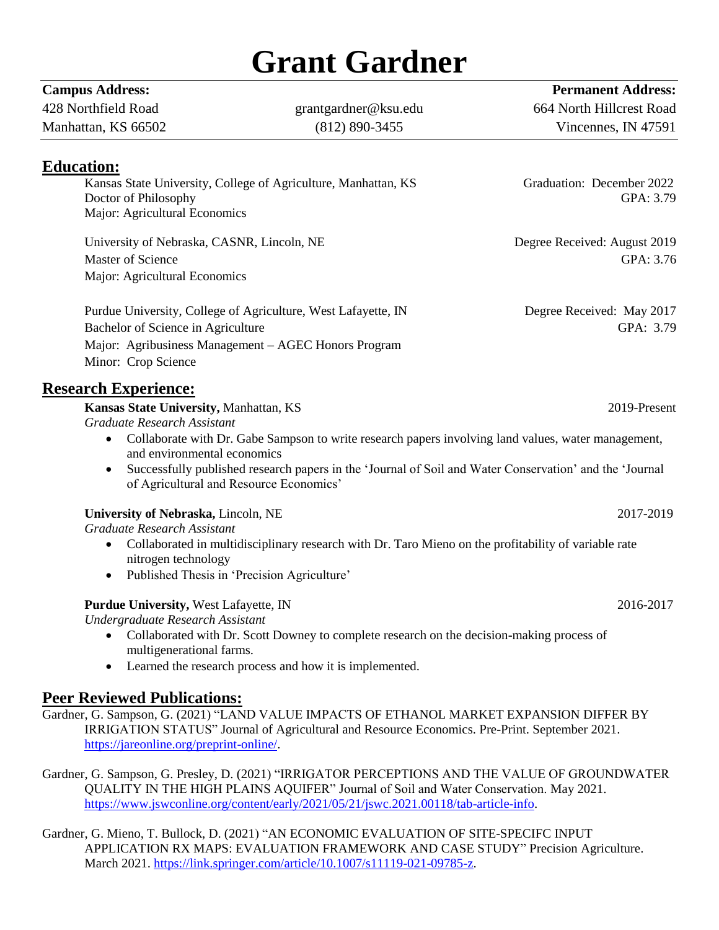## **Grant Gardner**

**Campus Address: Permanent Address:**

| 428 Northfield Road                                                                    | grantgardner@ksu.edu                                                                                    | 664 North Hillcrest Road               |
|----------------------------------------------------------------------------------------|---------------------------------------------------------------------------------------------------------|----------------------------------------|
| Manhattan, KS 66502                                                                    | $(812) 890 - 3455$                                                                                      | Vincennes, IN 47591                    |
| <b>Education:</b>                                                                      |                                                                                                         |                                        |
| Kansas State University, College of Agriculture, Manhattan, KS<br>Doctor of Philosophy |                                                                                                         | Graduation: December 2022<br>GPA: 3.79 |
| Major: Agricultural Economics                                                          |                                                                                                         |                                        |
| University of Nebraska, CASNR, Lincoln, NE                                             |                                                                                                         | Degree Received: August 2019           |
| Master of Science                                                                      |                                                                                                         | GPA: 3.76                              |
| Major: Agricultural Economics                                                          |                                                                                                         |                                        |
|                                                                                        | Purdue University, College of Agriculture, West Lafayette, IN                                           | Degree Received: May 2017              |
| Bachelor of Science in Agriculture                                                     |                                                                                                         | GPA: 3.79                              |
|                                                                                        | Major: Agribusiness Management - AGEC Honors Program                                                    |                                        |
| Minor: Crop Science                                                                    |                                                                                                         |                                        |
| <b>Research Experience:</b>                                                            |                                                                                                         |                                        |
| Kansas State University, Manhattan, KS                                                 |                                                                                                         | 2019-Present                           |
| Graduate Research Assistant                                                            |                                                                                                         |                                        |
| $\bullet$<br>and environmental economics                                               | Collaborate with Dr. Gabe Sampson to write research papers involving land values, water management,     |                                        |
|                                                                                        | Successfully published research papers in the 'Journal of Soil and Water Conservation' and the 'Journal |                                        |
|                                                                                        | of Agricultural and Resource Economics'                                                                 |                                        |
| University of Nebraska, Lincoln, NE                                                    |                                                                                                         | 2017-2019                              |
| Graduate Research Assistant                                                            |                                                                                                         |                                        |
|                                                                                        | Collaborated in multidisciplinary research with Dr. Taro Mieno on the profitability of variable rate    |                                        |
| nitrogen technology<br>$\bullet$                                                       | Published Thesis in 'Precision Agriculture'                                                             |                                        |
|                                                                                        |                                                                                                         |                                        |
| Purdue University, West Lafayette, IN                                                  |                                                                                                         | 2016-2017                              |
| Undergraduate Research Assistant                                                       |                                                                                                         |                                        |
| multigenerational farms.                                                               | Collaborated with Dr. Scott Downey to complete research on the decision-making process of               |                                        |
| $\bullet$                                                                              | Learned the research process and how it is implemented.                                                 |                                        |
|                                                                                        |                                                                                                         |                                        |
| <b>Peer Reviewed Publications:</b>                                                     |                                                                                                         |                                        |

Gardner, G. Sampson, G. (2021) "LAND VALUE IMPACTS OF ETHANOL MARKET EXPANSION DIFFER BY IRRIGATION STATUS" Journal of Agricultural and Resource Economics. Pre-Print. September 2021. [https://jareonline.org/preprint-online/.](https://jareonline.org/preprint-online/)

Gardner, G. Sampson, G. Presley, D. (2021) "IRRIGATOR PERCEPTIONS AND THE VALUE OF GROUNDWATER QUALITY IN THE HIGH PLAINS AQUIFER" Journal of Soil and Water Conservation. May 2021. [https://www.jswconline.org/content/early/2021/05/21/jswc.2021.00118/tab-article-info.](https://www.jswconline.org/content/early/2021/05/21/jswc.2021.00118/tab-article-info)

Gardner, G. Mieno, T. Bullock, D. (2021) "AN ECONOMIC EVALUATION OF SITE-SPECIFC INPUT APPLICATION RX MAPS: EVALUATION FRAMEWORK AND CASE STUDY" Precision Agriculture. March 2021. [https://link.springer.com/article/10.1007/s11119-021-09785-z.](https://link.springer.com/article/10.1007/s11119-021-09785-z)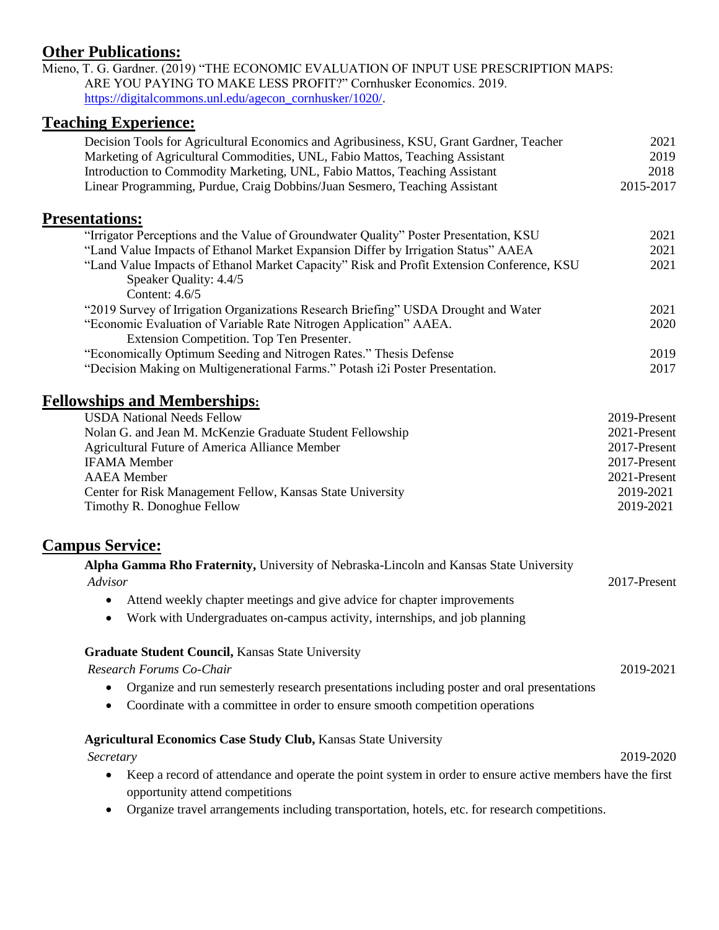## **Other Publications:**

Mieno, T. G. Gardner. (2019) "THE ECONOMIC EVALUATION OF INPUT USE PRESCRIPTION MAPS: ARE YOU PAYING TO MAKE LESS PROFIT?" Cornhusker Economics. 2019. [https://digitalcommons.unl.edu/agecon\\_cornhusker/1020/.](https://digitalcommons.unl.edu/agecon_cornhusker/1020/)

## **Teaching Experience:**

| reaching Experience                                                                                                                                                                                                                                   |                        |
|-------------------------------------------------------------------------------------------------------------------------------------------------------------------------------------------------------------------------------------------------------|------------------------|
| Decision Tools for Agricultural Economics and Agribusiness, KSU, Grant Gardner, Teacher<br>Marketing of Agricultural Commodities, UNL, Fabio Mattos, Teaching Assistant<br>Introduction to Commodity Marketing, UNL, Fabio Mattos, Teaching Assistant | 2021<br>2019<br>2018   |
| Linear Programming, Purdue, Craig Dobbins/Juan Sesmero, Teaching Assistant                                                                                                                                                                            | 2015-2017              |
| <b>Presentations:</b>                                                                                                                                                                                                                                 |                        |
| "Irrigator Perceptions and the Value of Groundwater Quality" Poster Presentation, KSU                                                                                                                                                                 | 2021                   |
| "Land Value Impacts of Ethanol Market Expansion Differ by Irrigation Status" AAEA                                                                                                                                                                     | 2021                   |
| "Land Value Impacts of Ethanol Market Capacity" Risk and Profit Extension Conference, KSU<br>Speaker Quality: 4.4/5<br>Content: 4.6/5                                                                                                                 | 2021                   |
| "2019 Survey of Irrigation Organizations Research Briefing" USDA Drought and Water                                                                                                                                                                    | 2021                   |
| "Economic Evaluation of Variable Rate Nitrogen Application" AAEA.                                                                                                                                                                                     | 2020                   |
| Extension Competition. Top Ten Presenter.                                                                                                                                                                                                             |                        |
| "Economically Optimum Seeding and Nitrogen Rates." Thesis Defense                                                                                                                                                                                     | 2019                   |
| "Decision Making on Multigenerational Farms." Potash i2i Poster Presentation.                                                                                                                                                                         | 2017                   |
| <b>Fellowships and Memberships:</b>                                                                                                                                                                                                                   |                        |
| <b>USDA National Needs Fellow</b>                                                                                                                                                                                                                     | 2019-Present           |
| Nolan G. and Jean M. McKenzie Graduate Student Fellowship                                                                                                                                                                                             | 2021-Present           |
| Agricultural Future of America Alliance Member                                                                                                                                                                                                        | 2017-Present           |
| <b>IFAMA</b> Member                                                                                                                                                                                                                                   | 2017-Present           |
| <b>AAEA</b> Member                                                                                                                                                                                                                                    | 2021-Present           |
| Center for Risk Management Fellow, Kansas State University<br>Timothy R. Donoghue Fellow                                                                                                                                                              | 2019-2021<br>2019-2021 |
|                                                                                                                                                                                                                                                       |                        |
| <b>Campus Service:</b>                                                                                                                                                                                                                                |                        |
| Alpha Gamma Rho Fraternity, University of Nebraska-Lincoln and Kansas State University<br>Advisor                                                                                                                                                     | 2017-Present           |
| Attend weekly chapter meetings and give advice for chapter improvements                                                                                                                                                                               |                        |
| Work with Undergraduates on-campus activity, internships, and job planning<br>$\bullet$                                                                                                                                                               |                        |
| <b>Graduate Student Council, Kansas State University</b>                                                                                                                                                                                              |                        |
| Research Forums Co-Chair                                                                                                                                                                                                                              | 2019-2021              |
| Organize and run semesterly research presentations including poster and oral presentations<br>$\bullet$                                                                                                                                               |                        |
| Coordinate with a committee in order to ensure smooth competition operations<br>$\bullet$                                                                                                                                                             |                        |
|                                                                                                                                                                                                                                                       |                        |
| <b>Agricultural Economics Case Study Club, Kansas State University</b>                                                                                                                                                                                |                        |
| Secretary                                                                                                                                                                                                                                             | 2019-2020              |
| Keep a record of attendance and operate the point system in order to ensure active members have the first<br>opportunity attend competitions                                                                                                          |                        |

Organize travel arrangements including transportation, hotels, etc. for research competitions.